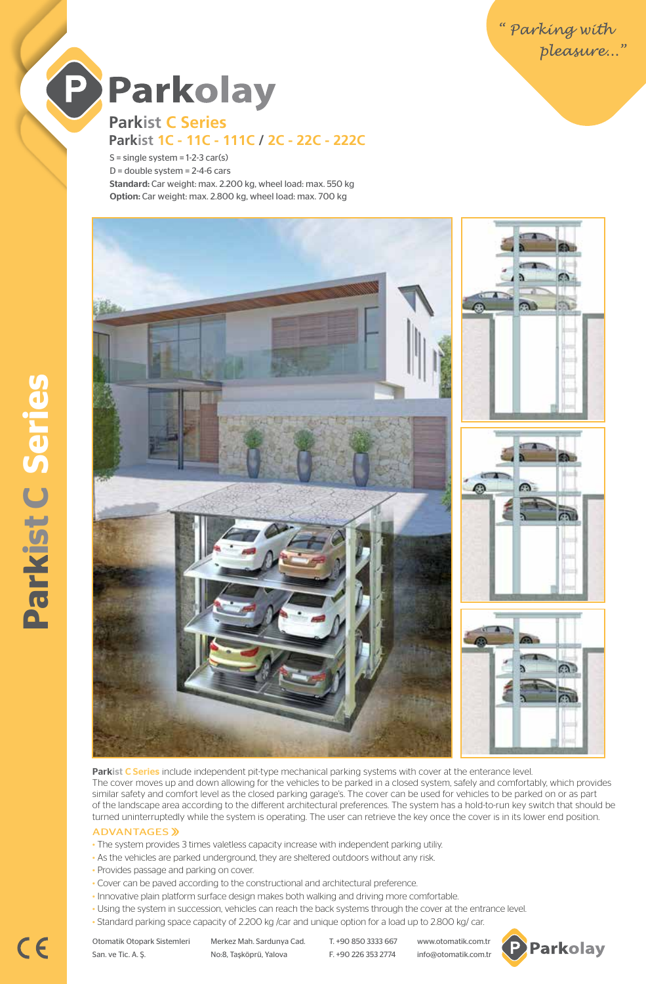

P

**Parkist C Series Parkist 1C - 11C - 111C / 2C - 22C - 222C**

 $S =$  single system  $= 1-2-3$  car(s)  $D =$  double system = 2-4-6 cars Standard: Car weight: max. 2.200 kg, wheel load: max. 550 kg Option: Car weight: max. 2.800 kg, wheel load: max. 700 kg



Parkist C Series include independent pit-type mechanical parking systems with cover at the enterance level. The cover moves up and down allowing for the vehicles to be parked in a closed system, safely and comfortably, which provides similar safety and comfort level as the closed parking garage's. The cover can be used for vehicles to be parked on or as part of the landscape area according to the different architectural preferences. The system has a hold-to-run key switch that should be turned uninterruptedly while the system is operating. The user can retrieve the key once the cover is in its lower end position.

#### **ADVANTAGES** »

- The system provides 3 times valetless capacity increase with independent parking utiliy.
- As the vehicles are parked underground, they are sheltered outdoors without any risk.
- Provides passage and parking on cover.
- Cover can be paved according to the constructional and architectural preference.
- Innovative plain platform surface design makes both walking and driving more comfortable.
- Using the system in succession, vehicles can reach the back systems through the cover at the entrance level.
- Standard parking space capacity of 2.200 kg /car and unique option for a load up to 2.800 kg/ car.

 $C<sub>6</sub>$ 

Otomatik Otopark Sistemleri Merkez Mah. Sardunya Cad. T. +90 850 3333 667 www.otomatik.com.tr San. ve Tic. A. Ş. No:8, Taşköprü, Yalova F. +90 226 353 2774 info@otomatik.com.tr

**P** Parkolay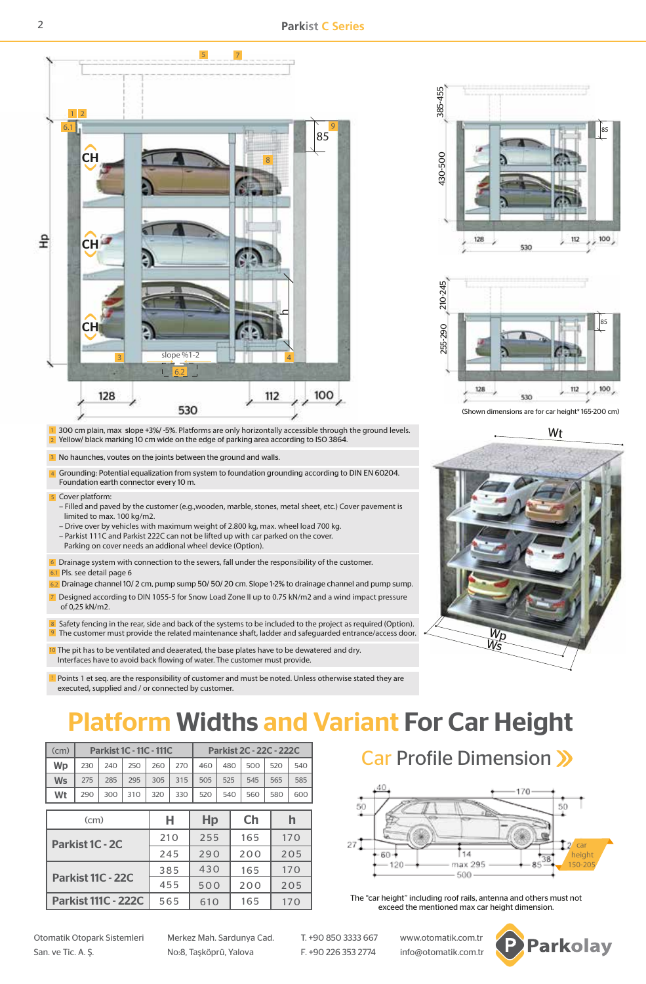**Parkist C Series**



Points 1 et seq. are the responsibility of customer and must be noted. Unless otherwise stated they are executed, supplied and / or connected by customer.

## Platform Widths and Variant For Car Height

|  | (cm)      | <b>Parkist 1C - 11C - 111C</b> |     |     |     |     | Parkist 2C - 22C - 222C |     |     |     |     |  |
|--|-----------|--------------------------------|-----|-----|-----|-----|-------------------------|-----|-----|-----|-----|--|
|  | Wp        | 230                            | 240 | 250 | 260 | 270 | 460                     | 480 | 500 | 520 | 540 |  |
|  | <b>Ws</b> | 275                            | 285 | 295 | 305 | 315 | 505                     | 525 | 545 | 565 | 585 |  |
|  | Wt        | 290                            | 300 | 310 | 320 | 330 | 520                     | 540 | 560 | 580 | 600 |  |
|  |           |                                |     |     |     |     |                         |     |     |     |     |  |
|  | (cm)      |                                |     |     |     |     |                         |     |     |     |     |  |

| (cm)                       | н   | Hp  | Ch  |     |
|----------------------------|-----|-----|-----|-----|
| Parkist 1C - 2C            | 210 | 255 | 165 | 170 |
|                            | 245 | 790 | 200 | 205 |
| Parkist 11C - 22C          | 385 | 430 | 165 | 170 |
|                            | 455 | 500 | 200 | 205 |
| <b>Parkist 111C - 222C</b> | 565 | 610 | 165 | 170 |

Car Profile Dimension >>



The "car height" including roof rails, antenna and others must not exceed the mentioned max car height dimension.





(Shown dimensions are for car height\* 165-200 cm)

Wt



Otomatik Otopark Sistemleri Merkez Mah. Sardunya Cad. T. +90 850 3333 667 www.otomatik.com.tr San. ve Tic. A. Ş. No:8, Taşköprü, Yalova F. +90 226 353 2774 info@otomatik.com.tr

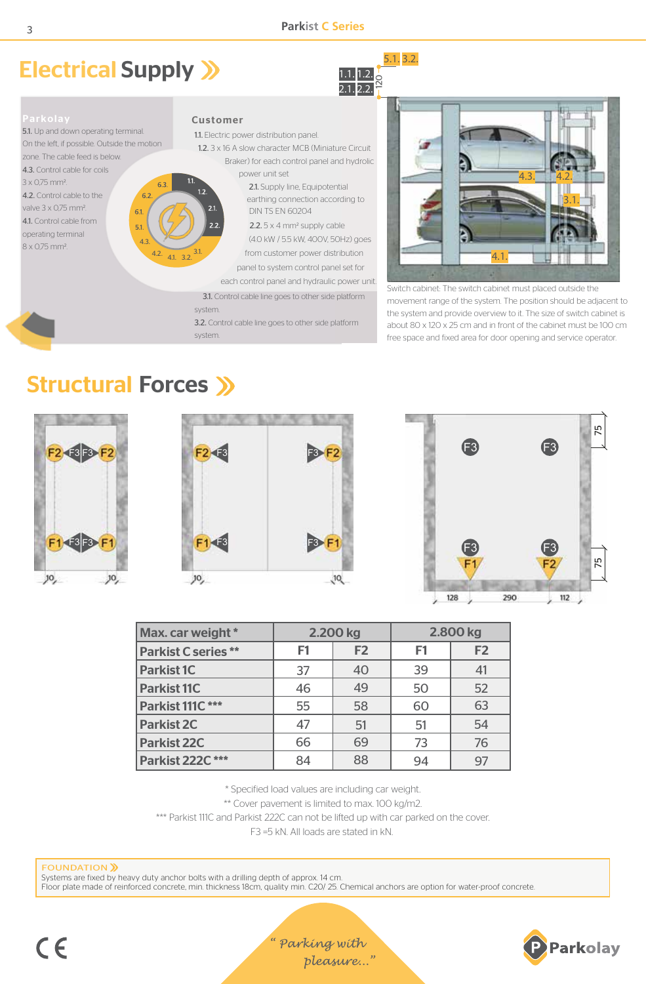## Electrical Supply  $\mathcal Y$





5.1. Up and down operating terminal. On the left, if possible. Outside the motion zone. The cable feed is below. 4.3. Control cable for coils 3 x 0,75 mm2. 63 4.2. Control cable to the  $62$ valve 3 x 0,75 mm2. 6.1

41. Control cable from operating terminal

8 x 0,75 mm2.

#### Customer

1.1. Electric power distribution panel.

 1.2. 3 x 16 A slow character MCB (Miniature Circuit Braker) for each control panel and hydrolic

 power unit set 2.1. Supply line, Equipotential earthing connection according to DIN TS EN 60204

2.2.  $\sim$  2.2.5 x 4 mm<sup>2</sup> supply cable (4.0 kW / 5.5 kW, 400V, 50Hz) goes from customer power distribution panel to system control panel set for

each control panel and hydraulic power unit.

3.1. Control cable line goes to other side platform

system.

3.2. Control cable line goes to other side platform

system.



Switch cabinet: The switch cabinet must placed outside the movement range of the system. The position should be adjacent to the system and provide overview to it. The size of switch cabinet is about 80 x 120 x 25 cm and in front of the cabinet must be 100 cm free space and fixed area for door opening and service operator.

## Structural Forces >>

4.3.

 $5.1$ 

4.2.  $41.32$ 







| Max. car weight *         |                | 2.200 kg       | 2.800 kg       |                |  |
|---------------------------|----------------|----------------|----------------|----------------|--|
| <b>Parkist C series**</b> | F <sub>1</sub> | F <sub>2</sub> | F <sub>1</sub> | F <sub>2</sub> |  |
| <b>Parkist 1C</b>         | 37             | 40             | 39             | 41             |  |
| <b>Parkist 11C</b>        | 46             | 49             | 50             | 52             |  |
| Parkist 111C***           | 55             | 58             | 60             | 63             |  |
| <b>Parkist 2C</b>         | 47             | 51             | 51             | 54             |  |
| <b>Parkist 22C</b>        | 66             | 69             | 73             | 76             |  |
| Parkist 222C***           | 84             | 88             | 94             | 97             |  |

\* Specified load values are including car weight.

\*\* Cover pavement is limited to max. 100 kg/m2.

\*\*\* Parkist 111C and Parkist 222C can not be lifted up with car parked on the cover.

F3 =5 kN. All loads are stated in kN.

#### **FOUNDATION** )

Systems are fixed by heavy duty anchor bolts with a drilling depth of approx. 14 cm. Floor plate made of reinforced concrete, min. thickness 18cm, quality min. C20/ 25. Chemical anchors are option for water-proof concrete.

"Parking with pleasure..."

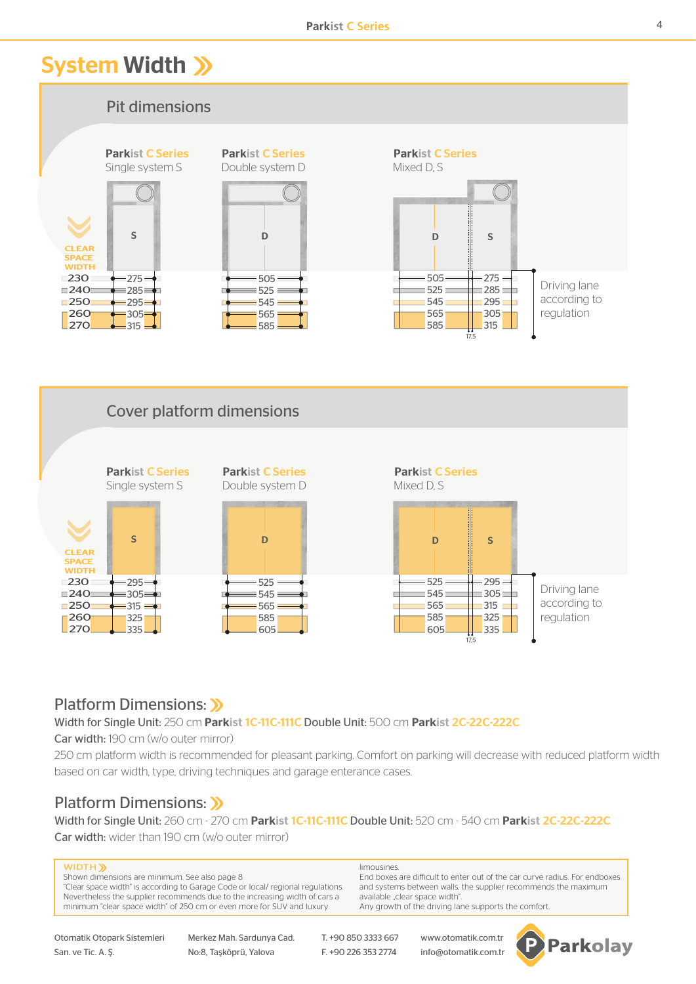## System Width >>>



#### Platform Dimensions: >>

Width for Single Unit: 250 cm Parkist 1C-11C-111C Double Unit: 500 cm Parkist 2C-22C-222C

Car width: 190 cm (w/o outer mirror)

250 cm platform width is recommended for pleasant parking. Comfort on parking will decrease with reduced platform width based on car width, type, driving techniques and garage enterance cases.

### Platform Dimensions: >>

Width for Single Unit: 260 cm - 270 cm Parkist 1C-11C-111C Double Unit: 520 cm - 540 cm Parkist 2C-22C-222C Car width: wider than 190 cm (w/o outer mirror)

#### WIDTH<sup>Y</sup>

Shown dimensions are minimum. See also page 8 "Clear space width" is according to Garage Code or local/ regional regulations. Nevertheless the supplier recommends due to the increasing width of cars a minimum "clear space width" of 250 cm or even more for SUV and luxury

Otomatik Otopark Sistemleri Merkez Mah. Sardunya Cad. T. +90 850 3333 667 www.otomatik.com.tr San. ve Tic. A. S. No:8, Taşköprü, Yalova F. +90 226 353 2774 info@otomatik.com.tr

limousines.

End boxes are difficult to enter out of the car curve radius. For endboxes and systems between walls, the supplier recommends the maximum available "clear space width". Any growth of the driving lane supports the comfort.

17,5

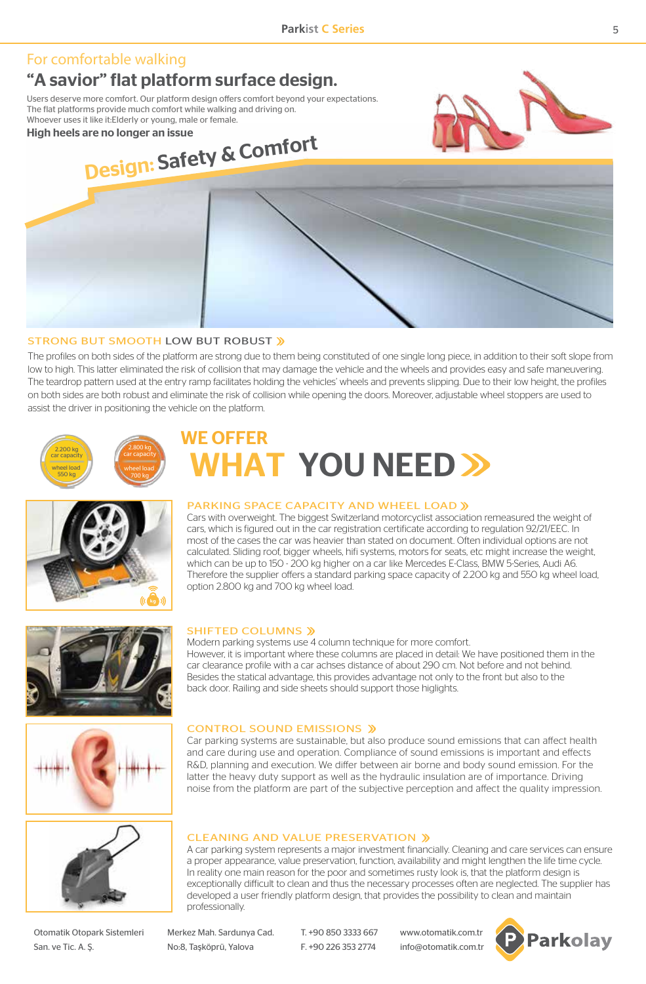### For comfortable walking

### "A savior" flat platform surface design.

Users deserve more comfort. Our platform design offers comfort beyond your expectations. The flat platforms provide much comfort while walking and driving on. Whoever uses it like it:Elderly or young, male or female.

High heels are no longer an issue

# Design: Safety & Comfort

#### STRONG BUT SMOOTH LOW BUT ROBUST

The profiles on both sides of the platform are strong due to them being constituted of one single long piece, in addition to their soft slope from low to high. This latter eliminated the risk of collision that may damage the vehicle and the wheels and provides easy and safe maneuvering. The teardrop pattern used at the entry ramp facilitates holding the vehicles' wheels and prevents slipping. Due to their low height, the profiles on both sides are both robust and eliminate the risk of collision while opening the doors. Moreover, adjustable wheel stoppers are used to assist the driver in positioning the vehicle on the platform.



## WE OFFER **NHAT YOU NEED >>**



#### PARKING SPACE CAPACITY AND WHEEL LOAD »

Modern parking systems use 4 column technique for more comfort.

back door. Railing and side sheets should support those higlights.

Cars with overweight. The biggest Switzerland motorcyclist association remeasured the weight of cars, which is figured out in the car registration certificate according to regulation 92/21/EEC. In most of the cases the car was heavier than stated on document. Often individual options are not calculated. Sliding roof, bigger wheels, hifi systems, motors for seats, etc might increase the weight, which can be up to 150 - 200 kg higher on a car like Mercedes E-Class, BMW 5-Series, Audi A6. Therefore the supplier offers a standard parking space capacity of 2.200 kg and 550 kg wheel load, option 2.800 kg and 700 kg wheel load.

However, it is important where these columns are placed in detail: We have positioned them in the car clearance profile with a car achses distance of about 290 cm. Not before and not behind. Besides the statical advantage, this provides advantage not only to the front but also to the





CONTROL SOUND EMISSIONS

SHIFTED COLUMNS »

Car parking systems are sustainable, but also produce sound emissions that can affect health and care during use and operation. Compliance of sound emissions is important and effects R&D, planning and execution. We differ between air borne and body sound emission. For the latter the heavy duty support as well as the hydraulic insulation are of importance. Driving noise from the platform are part of the subjective perception and affect the quality impression.

#### CLEANING AND VALUE PRESERVATION

A car parking system represents a major investment financially. Cleaning and care services can ensure a proper appearance, value preservation, function, availability and might lengthen the life time cycle. In reality one main reason for the poor and sometimes rusty look is, that the platform design is exceptionally difficult to clean and thus the necessary processes often are neglected. The supplier has developed a user friendly platform design, that provides the possibility to clean and maintain professionally.

Otomatik Otopark Sistemleri Merkez Mah. Sardunya Cad. T. +90 850 3333 667 www.otomatik.com.tr San. ve Tic. A. Ş. No:8, Taşköprü, Yalova F. +90 226 353 2774 info@otomatik.com.tr

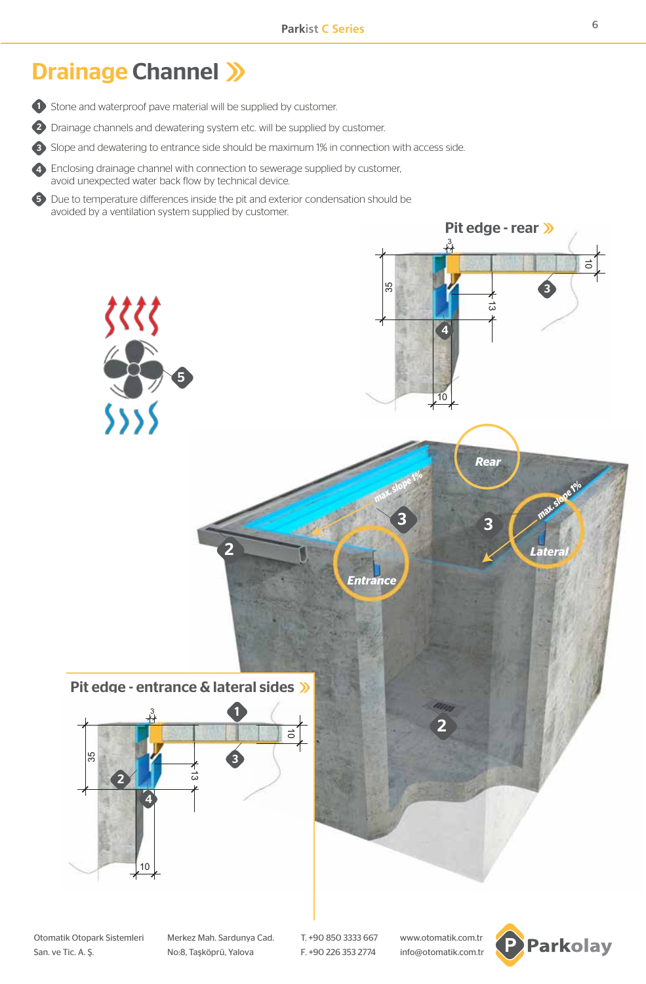## Drainage Channel >>>

**1** Stone and waterproof pave material will be supplied by customer.

2) Drainage channels and dewatering system etc. will be supplied by customer.

**3)** Slope and dewatering to entrance side should be maximum 1% in connection with access side.

4) Enclosing drainage channel with connection to sewerage supplied by customer, avoid unexpected water back flow by technical device.

5) Due to temperature differences inside the pit and exterior condensation should be avoided by a ventilation system supplied by customer.



Otomatik Otopark Sistemleri Merkez Mah. Sardunya Cad. T. +90 850 3333 667 www.otomatik.com.tr San. ve Tic. A. Ş. No:8, Taşköprü, Yalova F. +90 226 353 2774 info@otomatik.com.tr

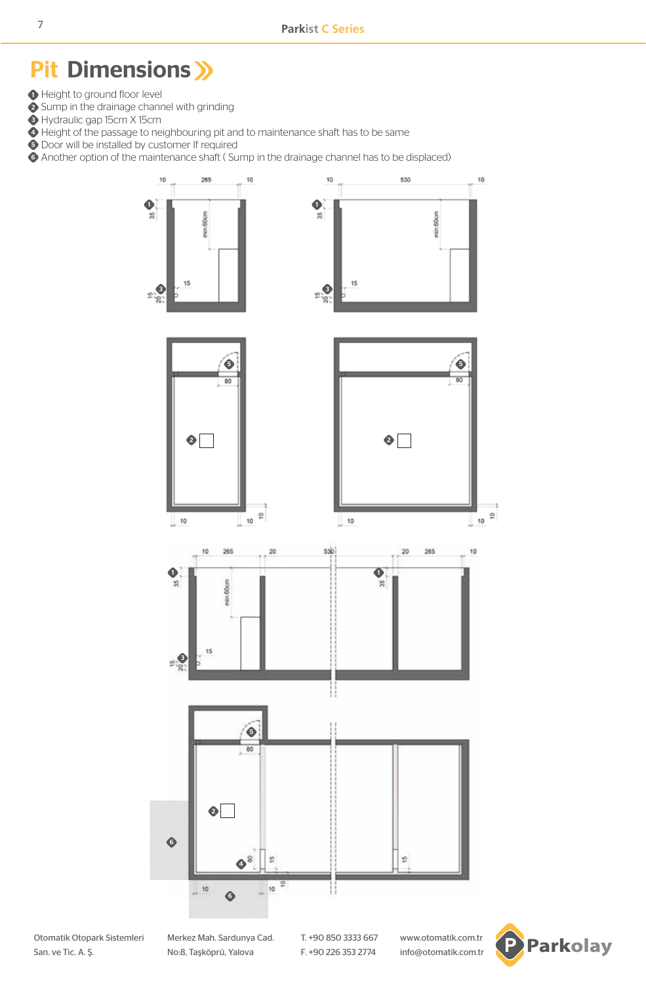## Pit Dimensions >>>

- Height to ground floor level
- 2 Sump in the drainage channel with grinding
- Hydraulic gap 15cm X 15cm
- Height of the passage to neighbouring pit and to maintenance shaft has to be same
- Door will be installed by customer If required
- Another option of the maintenance shaft ( Sump in the drainage channel has to be displaced)